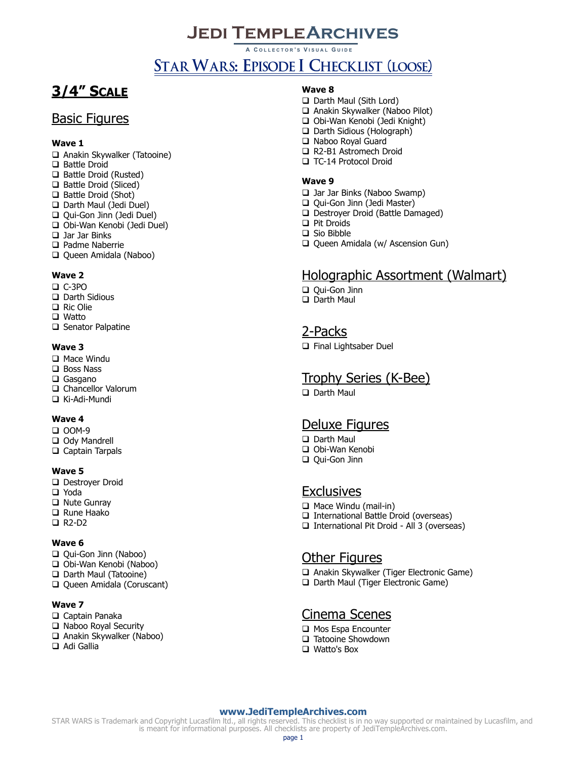# **Jedi TempleArchives**

**A C OLLECTOR ' S V ISUAL G UIDE**

# STAR WARS: EPISODE I CHECKLIST (LOOSE)

# **3/4" SCALE**

## Basic Figures

#### **Wave 1**

Anakin Skywalker (Tatooine)

- □ Battle Droid
- □ Battle Droid (Rusted)
- Battle Droid (Sliced)
- Battle Droid (Shot)
- Darth Maul (Jedi Duel)
- Qui-Gon Jinn (Jedi Duel)
- Obi-Wan Kenobi (Jedi Duel)
- □ Jar Jar Binks
- □ Padme Naberrie
- Queen Amidala (Naboo)

#### **Wave 2**

- C-3PO
- Darth Sidious
- □ Ric Olie
- □ Watto
- □ Senator Palpatine

#### **Wave 3**

- □ Mace Windu
- □ Boss Nass
- □ Gasgano
- □ Chancellor Valorum
- Ki-Adi-Mundi

#### **Wave 4**

- $\Box$  OOM-9
- Ody Mandrell
- □ Captain Tarpals

#### **Wave 5**

- Destroyer Droid
- Yoda
- □ Nute Gunray
- □ Rune Haako
- R2-D2

#### **Wave 6**

- Qui-Gon Jinn (Naboo)
- Obi-Wan Kenobi (Naboo)
- D Darth Maul (Tatooine)
- Queen Amidala (Coruscant)

#### **Wave 7**

- □ Captain Panaka
- □ Naboo Royal Security
- Anakin Skywalker (Naboo)
- □ Adi Gallia

#### **Wave 8**

- □ Darth Maul (Sith Lord)
- Anakin Skywalker (Naboo Pilot)
- Obi-Wan Kenobi (Jedi Knight)
- □ Darth Sidious (Holograph)
- □ Naboo Royal Guard
- R2-B1 Astromech Droid
- TC-14 Protocol Droid

#### **Wave 9**

- □ Jar Jar Binks (Naboo Swamp)
- Qui-Gon Jinn (Jedi Master)
- Destroyer Droid (Battle Damaged)
- □ Pit Droids
- □ Sio Bibble
- Q Queen Amidala (w/ Ascension Gun)

## Holographic Assortment (Walmart)

- Qui-Gon Jinn
- □ Darth Maul

### 2-Packs

Final Lightsaber Duel

### Trophy Series (K-Bee)

□ Darth Maul

## Deluxe Figures

- Darth Maul
- □ Obi-Wan Kenobi □ Qui-Gon Jinn

## **Exclusives**

- Mace Windu (mail-in)
- □ International Battle Droid (overseas)
- □ International Pit Droid All 3 (overseas)

## Other Figures

- Anakin Skywalker (Tiger Electronic Game)
- □ Darth Maul (Tiger Electronic Game)

## Cinema Scenes

- **Q** Mos Espa Encounter
- □ Tatooine Showdown
- □ Watto's Box

#### **[www.JediTempleArchives.com](http://www.jeditemplearchives.com/)**